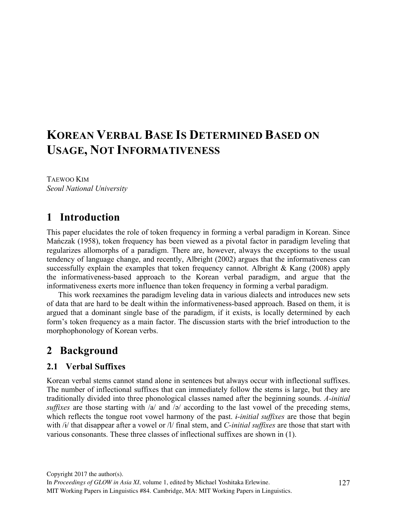# **KOREAN VERBAL BASE IS DETERMINED BASED ON USAGE, NOT INFORMATIVENESS**

TAEWOO KIM *Seoul National University*

# **1** Introduction

This paper elucidates the role of token frequency in forming a verbal paradigm in Korean. Since Mańczak (1958), token frequency has been viewed as a pivotal factor in paradigm leveling that regularizes allomorphs of a paradigm. There are, however, always the exceptions to the usual tendency of language change, and recently, Albright (2002) argues that the informativeness can successfully explain the examples that token frequency cannot. Albright & Kang (2008) apply the informativeness-based approach to the Korean verbal paradigm, and argue that the informativeness exerts more influence than token frequency in forming a verbal paradigm.

This work reexamines the paradigm leveling data in various dialects and introduces new sets of data that are hard to be dealt within the informativeness-based approach. Based on them, it is argued that a dominant single base of the paradigm, if it exists, is locally determined by each form's token frequency as a main factor. The discussion starts with the brief introduction to the morphophonology of Korean verbs.

# 2 Background

### **2.1 Verbal Suffixes**

Korean verbal stems cannot stand alone in sentences but always occur with inflectional suffixes. The number of inflectional suffixes that can immediately follow the stems is large, but they are traditionally divided into three phonological classes named after the beginning sounds. *A-initial suffixes* are those starting with /a/ and /ə/ according to the last vowel of the preceding stems, which reflects the tongue root vowel harmony of the past. *ɨ-initial suffixes* are those that begin with /ɨ/ that disappear after a vowel or /l/ final stem, and *C-initial suffixes* are those that start with various consonants. These three classes of inflectional suffixes are shown in (1).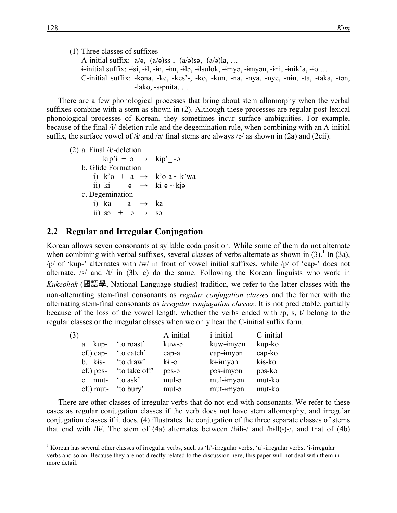(1) Three classes of suffixes A-initial suffix:  $-a/a$ ,  $-(a/a)ss$ ,  $-(a/a)sa$ ,  $-(a/a)sa$ , ... ɨ-initial suffix: -ɨsi, -ɨl, -ɨn, -ɨm, -ɨlə, -ɨlsulok, -ɨmyə, -ɨmyən, -ɨni, -ɨnik'a, -ɨo … C-initial suffix: -kəna, -ke, -kes'-, -ko, -kun, -na, -nya, -nye, -nɨn, -ta, -taka, -tən, -lako, -sɨpnita, …

There are a few phonological processes that bring about stem allomorphy when the verbal suffixes combine with a stem as shown in (2). Although these processes are regular post-lexical phonological processes of Korean, they sometimes incur surface ambiguities. For example, because of the final /ɨ/-deletion rule and the degemination rule, when combining with an A-initial suffix, the surface vowel of  $\frac{1}{4}$  and  $\frac{1}{9}$  final stems are always  $\frac{1}{9}$  as shown in (2a) and (2cii).

(2) a. Final  $/i$ -deletion  $kip' i + \vartheta \rightarrow kip' -\vartheta$  b. Glide Formation i) k'o + a  $\rightarrow$  k'o-a ~ k'wa ii) ki +  $\theta \rightarrow$  ki- $\theta \sim$ kj $\theta$  c. Degemination i) ka + a  $\rightarrow$  ka ii) sə + ə  $\rightarrow$  sə

#### **2.2 Regular and Irregular Conjugation**

Korean allows seven consonants at syllable coda position. While some of them do not alternate when combining with verbal suffixes, several classes of verbs alternate as shown in  $(3)$ . In  $(3a)$ , /p/ of 'kup-' alternates with /w/ in front of vowel initial suffixes, while /p/ of 'cap-' does not alternate.  $/s/$  and  $/t/$  in (3b, c) do the same. Following the Korean linguists who work in *Kukeohak* (國語學, National Language studies) tradition, we refer to the latter classes with the non-alternating stem-final consonants as *regular conjugation classes* and the former with the alternating stem-final consonants as *irregular conjugation classes*. It is not predictable, partially because of the loss of the vowel length, whether the verbs ended with /p, s, t/ belong to the regular classes or the irregular classes when we only hear the C-initial suffix form.

| (3) |              |             | A-initial | <i>i</i> -initial | C-initial |
|-----|--------------|-------------|-----------|-------------------|-----------|
|     | a. kup-      | to roast    | kuw-ə     | kuw-imyan         | kup-ko    |
|     | $cf.$ ) cap- | 'to catch'  | cap-a     | cap-imyon         | cap-ko    |
|     | $b.$ kis-    | 'to draw'   | ki -ə     | ki-imyan          | kis-ko    |
|     | $cf.$ ) pas- | to take off | pas-a     | pəs-imyən         | pəs-ko    |
|     | c. mut-      | to ask'     | mul-a     | mul-imyan         | mut-ko    |
|     | $cf.$ ) mut- | to bury'    | mut-a     | mut-imyan         | mut-ko    |

There are other classes of irregular verbs that do not end with consonants. We refer to these cases as regular conjugation classes if the verb does not have stem allomorphy, and irregular conjugation classes if it does. (4) illustrates the conjugation of the three separate classes of stems that end with  $\frac{1}{i}$ . The stem of (4a) alternates between  $\frac{1}{i}$ -/ and  $\frac{1}{i}$ -/ and that of (4b)

<sup>&</sup>lt;sup>1</sup> Korean has several other classes of irregular verbs, such as 'h'-irregular verbs, 'u'-irregular verbs, 'i-irregular verbs and so on. Because they are not directly related to the discussion here, this paper will not deal with them in more detail.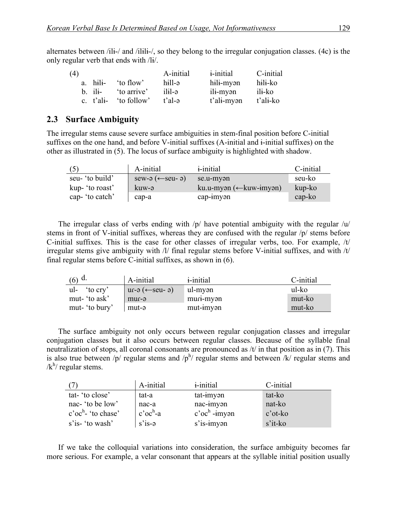alternates between /ilɨ-/ and /ilɨlɨ-/, so they belong to the irregular conjugation classes. (4c) is the only regular verb that ends with /lɨ/.

| (4) |              |             | A-initial | <i>i</i> -initial | C-initial |
|-----|--------------|-------------|-----------|-------------------|-----------|
|     | a. hili-     | 'to flow'   | hill-ə    | hili-myən         | hili-ko   |
|     | $b$ ili-     | to arrive'  | a-lili    | ili-myən          | ili-ko    |
|     | c. $t'$ ali- | 'to follow' | t'al-ə    | t'ali-myən        | t'ali-ko  |

### 2.3 Surface Ambiguity

The irregular stems cause severe surface ambiguities in stem-final position before C-initial suffixes on the one hand, and before V-initial suffixes (A-initial and ɨ-initial suffixes) on the other as illustrated in (5). The locus of surface ambiguity is highlighted with shadow.

| (5)             | A-initial                | <i>i</i> -initial                            | C-initial |
|-----------------|--------------------------|----------------------------------------------|-----------|
| seu- 'to build' | $sew-a \leftarrow seu-a$ | se.u-myən                                    | seu-ko    |
| kup- 'to roast' | kuw-ə                    | $ku.u\text{-myan}$ ( $\leftarrow$ kuw-imyən) | kup-ko    |
| cap- 'to catch' | cap-a                    | cap-imyən                                    | $cap-k$   |

The irregular class of verbs ending with  $/p/$  have potential ambiguity with the regular  $/u/$ stems in front of V-initial suffixes, whereas they are confused with the regular /p/ stems before C-initial suffixes. This is the case for other classes of irregular verbs, too. For example, /t/ irregular stems give ambiguity with /l/ final regular stems before V-initial suffixes, and with /t/ final regular stems before C-initial suffixes, as shown in (6).

| $(6)$ d.       | A-initial                           | <i>i</i> -initial             | C-initial |
|----------------|-------------------------------------|-------------------------------|-----------|
| to cry<br>ul-  | $ur-a \left( \leftarrow$ seu- $a$ ) | ul-myən                       | ul-ko     |
| mut- 'to ask'  | mur-ə                               | mur <sub>1</sub> -myən        | mut-ko    |
| mut- 'to bury' | mut-ə                               | $mut\text{-}im$ y $\text{-}m$ | mut-ko    |

The surface ambiguity not only occurs between regular conjugation classes and irregular conjugation classes but it also occurs between regular classes. Because of the syllable final neutralization of stops, all coronal consonants are pronounced as /t/ in that position as in (7). This is also true between /p/ regular stems and /p<sup>h</sup>/ regular stems and between /k/ regular stems and  $/k^h$ / regular stems.

|                       | A-initial                                   | <i>i</i> -initial                            | C-initial        |
|-----------------------|---------------------------------------------|----------------------------------------------|------------------|
| tat-'to close'        | tat-a                                       | $tat\text{-}im$ yən                          | tat-ko           |
| nac-'to be low'       | nac-a                                       | nac-imyon                                    | nat-ko           |
| $\cos^h$ - 'to chase' | $\operatorname{c'oc}^{\operatorname{h}}$ -a | $\mathbf{c}'\mathbf{oc}^{\mathsf{h}}$ -imyən | $\dot{c}$ 'ot-ko |
| s'is- 'to wash'       | $s$ 'is- $\theta$                           | $s$ 'is- $im$ y $\alpha$ n                   | s'it-ko          |

If we take the colloquial variations into consideration, the surface ambiguity becomes far more serious. For example, a velar consonant that appears at the syllable initial position usually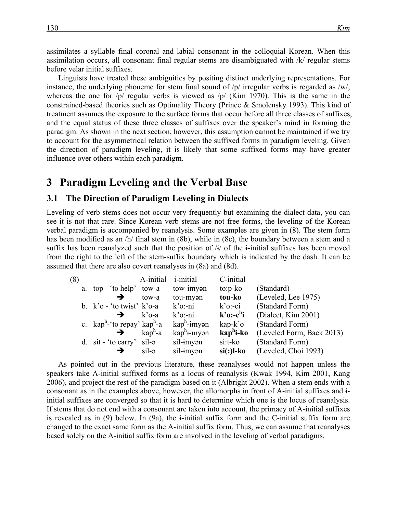assimilates a syllable final coronal and labial consonant in the colloquial Korean. When this assimilation occurs, all consonant final regular stems are disambiguated with /k/ regular stems before velar initial suffixes.

Linguists have treated these ambiguities by positing distinct underlying representations. For instance, the underlying phoneme for stem final sound of /p/ irregular verbs is regarded as /w/, whereas the one for  $/p$  regular verbs is viewed as  $/p/$  (Kim 1970). This is the same in the constrained-based theories such as Optimality Theory (Prince & Smolensky 1993). This kind of treatment assumes the exposure to the surface forms that occur before all three classes of suffixes, and the equal status of these three classes of suffixes over the speaker's mind in forming the paradigm. As shown in the next section, however, this assumption cannot be maintained if we try to account for the asymmetrical relation between the suffixed forms in paradigm leveling. Given the direction of paradigm leveling, it is likely that some suffixed forms may have greater influence over others within each paradigm.

## **3**xx**Paradigm Leveling and the Verbal Base**

#### **3.1 The Direction of Paradigm Leveling in Dialects**

Leveling of verb stems does not occur very frequently but examining the dialect data, you can see it is not that rare. Since Korean verb stems are not free forms, the leveling of the Korean verbal paradigm is accompanied by reanalysis. Some examples are given in (8). The stem form has been modified as an /h/ final stem in (8b), while in (8c), the boundary between a stem and a suffix has been reanalyzed such that the position of  $\lambda i$  of the i-initial suffixes has been moved from the right to the left of the stem-suffix boundary which is indicated by the dash. It can be assumed that there are also covert reanalyses in (8a) and (8d).

| (8) |                                                     | A-initial                  | <i>i</i> -initial              | C-initial                |                           |
|-----|-----------------------------------------------------|----------------------------|--------------------------------|--------------------------|---------------------------|
|     | a. top - 'to help' tow-a                            |                            | tow-imyan                      | $to: p-ko$               | (Standard)                |
|     |                                                     | tow-a                      | tou-myan                       | tou-ko                   | (Leveled, Lee 1975)       |
|     | b. $k$ 'o - 'to twist' $k$ 'o-a                     |                            | $k$ 'o:-ni                     | $k$ 'o:-ci               | (Standard Form)           |
|     |                                                     | $k$ 'o-a                   | $k$ 'o:-ni                     | $k$ 'o:-c <sup>h</sup> i | (Dialect, Kim 2001)       |
|     | c. kap <sup>h</sup> -'to repay' kap <sup>h</sup> -a |                            | $\text{kap}^{\text{h}}$ -imyən | $\text{kap-k'o}$         | (Standard Form)           |
|     |                                                     | $\text{kap}^{\text{h}}$ -a | $\text{kap}^{\text{h}}$ i-myən | kap <sup>h</sup> i-ko    | (Leveled Form, Baek 2013) |
|     | d. $\sin$ - 'to carry' $\sin$ - $\theta$            |                            | sil-imyan                      | si:t-ko                  | (Standard Form)           |
|     |                                                     | sil-ə                      | sil-imyan                      | $si(:)$ l-ko             | (Leveled, Choi 1993)      |
|     |                                                     |                            |                                |                          |                           |

As pointed out in the previous literature, these reanalyses would not happen unless the speakers take A-initial suffixed forms as a locus of reanalysis (Kwak 1994, Kim 2001, Kang 2006), and project the rest of the paradigm based on it (Albright 2002). When a stem ends with a consonant as in the examples above, however, the allomorphs in front of A-initial suffixes and ɨinitial suffixes are converged so that it is hard to determine which one is the locus of reanalysis. If stems that do not end with a consonant are taken into account, the primacy of A-initial suffixes is revealed as in  $(9)$  below. In  $(9a)$ , the *i*-initial suffix form and the C-initial suffix form are changed to the exact same form as the A-initial suffix form. Thus, we can assume that reanalyses based solely on the A-initial suffix form are involved in the leveling of verbal paradigms.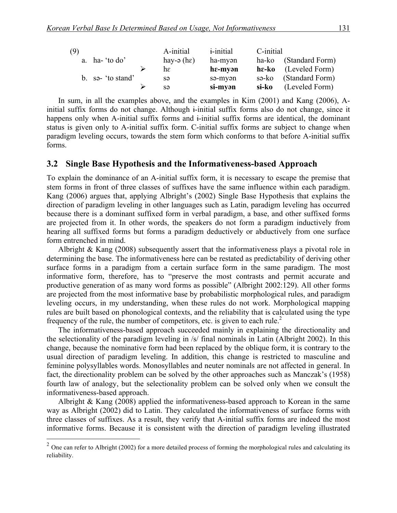| (9) |                      | A-initial                         | <i>i</i> -initial | C-initial |                        |
|-----|----------------------|-----------------------------------|-------------------|-----------|------------------------|
|     | a. $ha$ - 'to $do$ ' | hay- $\varphi$ (h $\varepsilon$ ) | ha-myən           | ha-ko     | (Standard Form)        |
|     |                      | h٤                                | he-myən           |           | $he-ko$ (Leveled Form) |
|     | b. so- 'to stand'    | sə                                | sə-myən           | sə-ko     | (Standard Form)        |
|     |                      | S <sub>3</sub>                    | si-myən           | si-ko     | (Leveled Form)         |

In sum, in all the examples above, and the examples in Kim (2001) and Kang (2006), Ainitial suffix forms do not change. Although i-initial suffix forms also do not change, since it happens only when A-initial suffix forms and i-initial suffix forms are identical, the dominant status is given only to A-initial suffix form. C-initial suffix forms are subject to change when paradigm leveling occurs, towards the stem form which conforms to that before A-initial suffix forms.

#### **3.2**xx**Single Base Hypothesis and the Informativeness-based Approach**

To explain the dominance of an A-initial suffix form, it is necessary to escape the premise that stem forms in front of three classes of suffixes have the same influence within each paradigm. Kang (2006) argues that, applying Albright's (2002) Single Base Hypothesis that explains the direction of paradigm leveling in other languages such as Latin, paradigm leveling has occurred because there is a dominant suffixed form in verbal paradigm, a base, and other suffixed forms are projected from it. In other words, the speakers do not form a paradigm inductively from hearing all suffixed forms but forms a paradigm deductively or abductively from one surface form entrenched in mind.

Albright & Kang (2008) subsequently assert that the informativeness plays a pivotal role in determining the base. The informativeness here can be restated as predictability of deriving other surface forms in a paradigm from a certain surface form in the same paradigm. The most informative form, therefore, has to "preserve the most contrasts and permit accurate and productive generation of as many word forms as possible" (Albright 2002:129). All other forms are projected from the most informative base by probabilistic morphological rules, and paradigm leveling occurs, in my understanding, when these rules do not work. Morphological mapping rules are built based on phonological contexts, and the reliability that is calculated using the type frequency of the rule, the number of competitors, etc. is given to each rule.<sup>2</sup>

The informativeness-based approach succeeded mainly in explaining the directionality and the selectionality of the paradigm leveling in /s/ final nominals in Latin (Albright 2002). In this change, because the nominative form had been replaced by the oblique form, it is contrary to the usual direction of paradigm leveling. In addition, this change is restricted to masculine and feminine polysyllables words. Monosyllables and neuter nominals are not affected in general. In fact, the directionality problem can be solved by the other approaches such as Manczak's (1958) fourth law of analogy, but the selectionality problem can be solved only when we consult the informativeness-based approach.

Albright & Kang (2008) applied the informativeness-based approach to Korean in the same way as Albright (2002) did to Latin. They calculated the informativeness of surface forms with three classes of suffixes. As a result, they verify that A-initial suffix forms are indeed the most informative forms. Because it is consistent with the direction of paradigm leveling illustrated

 $2$  One can refer to Albright (2002) for a more detailed process of forming the morphological rules and calculating its reliability.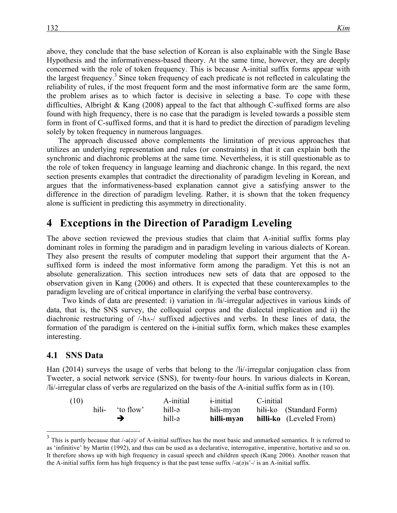above, they conclude that the base selection of Korean is also explainable with the Single Base Hypothesis and the informativeness-based theory. At the same time, however, they are deeply concerned with the role of token frequency. This is because A-initial suffix forms appear with the largest frequency.<sup>3</sup> Since token frequency of each predicate is not reflected in calculating the reliability of rules, if the most frequent form and the most informative form are the same form, the problem arises as to which factor is decisive in selecting a base. To cope with these difficulties, Albright & Kang (2008) appeal to the fact that although C-suffixed forms are also found with high frequency, there is no case that the paradigm is leveled towards a possible stem form in front of C-suffixed forms, and that it is hard to predict the direction of paradigm leveling solely by token frequency in numerous languages.

The approach discussed above complements the limitation of previous approaches that utilizes an underlying representation and rules (or constraints) in that it can explain both the synchronic and diachronic problems at the same time. Nevertheless, it is still questionable as to the role of token frequency in language learning and diachronic change. In this regard, the next section presents examples that contradict the directionality of paradigm leveling in Korean, and argues that the informativeness-based explanation cannot give a satisfying answer to the difference in the direction of paradigm leveling. Rather, it is shown that the token frequency alone is sufficient in predicting this asymmetry in directionality.

# **4**xx**Exceptions in the Direction of Paradigm Leveling**

The above section reviewed the previous studies that claim that A-initial suffix forms play dominant roles in forming the paradigm and in paradigm leveling in various dialects of Korean. They also present the results of computer modeling that support their argument that the Asuffixed form is indeed the most informative form among the paradigm. Yet this is not an absolute generalization. This section introduces new sets of data that are opposed to the observation given in Kang (2006) and others. It is expected that these counterexamples to the paradigm leveling are of critical importance in clarifying the verbal base controversy.

 Two kinds of data are presented: i) variation in /lɨ/-irregular adjectives in various kinds of data, that is, the SNS survey, the colloquial corpus and the dialectal implication and ii) the diachronic restructuring of /-hʌ-/ suffixed adjectives and verbs. In these lines of data, the formation of the paradigm is centered on the ɨ-initial suffix form, which makes these examples interesting.

#### **4.1 SNS Data**

Han (2014) surveys the usage of verbs that belong to the /lɨ/-irregular conjugation class from Tweeter, a social network service (SNS), for twenty-four hours. In various dialects in Korean, /lɨ/-irregular class of verbs are regularized on the basis of the A-initial suffix form as in (10).

| (10) |       |          | A-initial | <i>i</i> -initial | C-initial               |
|------|-------|----------|-----------|-------------------|-------------------------|
|      | hili- | to flow' | hill-ə    | hili-myən         | hili-ko (Standard Form) |
|      |       |          | hill-ə    | hilli-myən        | hilli-ko (Leveled From) |

 $3$  This is partly because that /-a( $\phi$ )/ of A-initial suffixes has the most basic and unmarked semantics. It is referred to as 'infinitive' by Martin (1992), and thus can be used as a declarative, interrogative, imperative, hortative and so on. It therefore shows up with high frequency in casual speech and children speech (Kang 2006). Another reason that the A-initial suffix form has high frequency is that the past tense suffix  $/-(a(e))^2$  -/ is an A-initial suffix.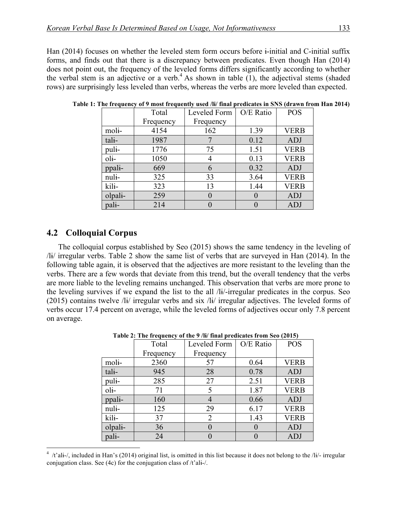Han (2014) focuses on whether the leveled stem form occurs before *i*-initial and C-initial suffix forms, and finds out that there is a discrepancy between predicates. Even though Han (2014) does not point out, the frequency of the leveled forms differs significantly according to whether the verbal stem is an adjective or a verb.<sup>4</sup> As shown in table  $(1)$ , the adjectival stems (shaded rows) are surprisingly less leveled than verbs, whereas the verbs are more leveled than expected.

|         | Total     | O/E Ratio<br>Leveled Form |      | <b>POS</b>  |
|---------|-----------|---------------------------|------|-------------|
|         | Frequency | Frequency                 |      |             |
| moli-   | 4154      | 162                       | 1.39 | <b>VERB</b> |
| tali-   | 1987      |                           | 0.12 | ADJ         |
| puli-   | 1776      | 75                        | 1.51 | <b>VERB</b> |
| $oli$ - | 1050      |                           | 0.13 | <b>VERB</b> |
| ppali-  | 669       | 6                         | 0.32 | ADJ         |
| nuli-   | 325       | 33                        | 3.64 | <b>VERB</b> |
| kili-   | 323       | 13                        | 1.44 | <b>VERB</b> |
| olpali- | 259       |                           |      | <b>ADJ</b>  |
| pali-   | 214       |                           |      | <b>ADJ</b>  |

**Table 1: The frequency of 9 most frequently used /lɨ/ final predicates in SNS (drawn from Han 2014)**

### **4.2**xx**Colloquial Corpus**

The colloquial corpus established by Seo (2015) shows the same tendency in the leveling of /lɨ/ irregular verbs. Table 2 show the same list of verbs that are surveyed in Han (2014). In the following table again, it is observed that the adjectives are more resistant to the leveling than the verbs. There are a few words that deviate from this trend, but the overall tendency that the verbs are more liable to the leveling remains unchanged. This observation that verbs are more prone to the leveling survives if we expand the list to the all /lɨ/-irregular predicates in the corpus. Seo (2015) contains twelve /lɨ/ irregular verbs and six /lɨ/ irregular adjectives. The leveled forms of verbs occur 17.4 percent on average, while the leveled forms of adjectives occur only 7.8 percent on average.

|            | Total     | Leveled Form | O/E Ratio        | <b>POS</b>  |
|------------|-----------|--------------|------------------|-------------|
|            | Frequency | Frequency    |                  |             |
| moli-      | 2360      | 57           | 0.64             | <b>VERB</b> |
| tali-      | 945       | 28           | 0.78             | <b>ADJ</b>  |
| puli-      | 285       | 27           | 2.51             | <b>VERB</b> |
| $ol_{i^-}$ | 71        | 5            | 1.87             | <b>VERB</b> |
| ppali-     | 160       | 4            | 0.66             | <b>ADJ</b>  |
| nuli-      | 125       | 29           | 6.17             | <b>VERB</b> |
| kili-      | 37        | 2            | 1.43             | <b>VERB</b> |
| olpali-    | 36        | $\theta$     | $\left( \right)$ | ADJ         |
| pali-      | 24        |              |                  | ADJ         |

 **Table 2: The frequency of the 9 /lɨ/ final predicates from Seo (2015)**

 $\frac{1}{4}$  $4$  /t'ali-/, included in Han's (2014) original list, is omitted in this list because it does not belong to the /li/- irregular conjugation class. See (4c) for the conjugation class of /t'alɨ-/.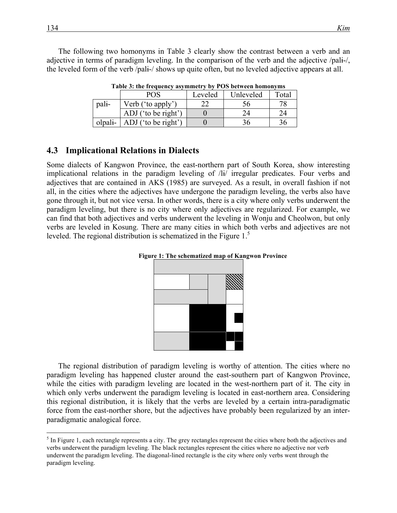The following two homonyms in Table 3 clearly show the contrast between a verb and an adjective in terms of paradigm leveling. In the comparison of the verb and the adjective /palɨ-/, the leveled form of the verb /palɨ-/ shows up quite often, but no leveled adjective appears at all.

|         | POS                 | Leveled | Unleveled | Total |  |
|---------|---------------------|---------|-----------|-------|--|
| pali-   | Verb ('to apply')   |         |           |       |  |
|         | ADJ ('to be right') |         |           |       |  |
| olpali- | ADJ ('to be right') |         |           |       |  |

**Table 3: the frequency asymmetry by POS between homonyms**

#### **4.3**xx**Implicational Relations in Dialects**

Some dialects of Kangwon Province, the east-northern part of South Korea, show interesting implicational relations in the paradigm leveling of /lɨ/ irregular predicates. Four verbs and adjectives that are contained in AKS (1985) are surveyed. As a result, in overall fashion if not all, in the cities where the adjectives have undergone the paradigm leveling, the verbs also have gone through it, but not vice versa. In other words, there is a city where only verbs underwent the paradigm leveling, but there is no city where only adjectives are regularized. For example, we can find that both adjectives and verbs underwent the leveling in Wonju and Cheolwon, but only verbs are leveled in Kosung. There are many cities in which both verbs and adjectives are not leveled. The regional distribution is schematized in the Figure 1.<sup>5</sup>





The regional distribution of paradigm leveling is worthy of attention. The cities where no paradigm leveling has happened cluster around the east-southern part of Kangwon Province, while the cities with paradigm leveling are located in the west-northern part of it. The city in which only verbs underwent the paradigm leveling is located in east-northern area. Considering this regional distribution, it is likely that the verbs are leveled by a certain intra-paradigmatic force from the east-norther shore, but the adjectives have probably been regularized by an interparadigmatic analogical force.

 $<sup>5</sup>$  In Figure 1, each rectangle represents a city. The grey rectangles represent the cities where both the adjectives and</sup> verbs underwent the paradigm leveling. The black rectangles represent the cities where no adjective nor verb underwent the paradigm leveling. The diagonal-lined rectangle is the city where only verbs went through the paradigm leveling.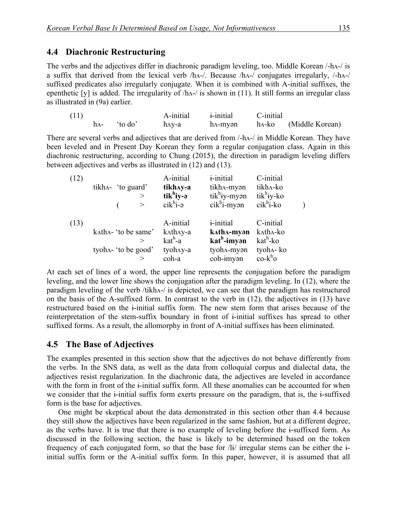### **4.4 Diachronic Restructuring**

The verbs and the adjectives differ in diachronic paradigm leveling, too. Middle Korean /-hʌ-/ is a suffix that derived from the lexical verb /hʌ-/. Because /hʌ-/ conjugates irregularly, /-hʌ-/ suffixed predicates also irregularly conjugate. When it is combined with A-initial suffixes, the epenthetic [y] is added. The irregularity of /hʌ-/ is shown in (11). It still forms an irregular class as illustrated in (9a) earlier.

| (11) |                 | A-initial | <i>i</i> -initial | C-initial |                                                         |
|------|-----------------|-----------|-------------------|-----------|---------------------------------------------------------|
|      | $h_A$ - 'to do' | h^y-a     |                   |           | h <sub>A</sub> -myan h <sub>A</sub> -ko (Middle Korean) |

There are several verbs and adjectives that are derived from /-hʌ-/ in Middle Korean. They have been leveled and in Present Day Korean they form a regular conjugation class. Again in this diachronic restructuring, according to Chung (2015), the direction in paradigm leveling differs between adjectives and verbs as illustrated in (12) and (13).

| (12) |                             | A-initial                                | <i>i</i> -initial       | C-initial                                       |  |
|------|-----------------------------|------------------------------------------|-------------------------|-------------------------------------------------|--|
|      | tikh $\Lambda$ - 'to guard' | tikhay-a                                 | tikh^-myan              | tikh^-ko                                        |  |
|      |                             | $tik^h$ iy-ə                             | $tik^h$ iy-myən         | $tik^h$ iy-ko                                   |  |
|      |                             | $cik^h$ <sub>1-<math>\theta</math></sub> | $cik^h$ i-myən          | $cik^h$ i-ko                                    |  |
|      |                             |                                          |                         |                                                 |  |
| (13) |                             | A-initial                                | <i>i</i> -initial       | C-initial                                       |  |
|      | katha-'to be same'          | k^th^y-a                                 | katha-myən              | k^th^-ko                                        |  |
|      |                             | kat <sup>h</sup> -a                      | kat <sup>h</sup> -imyən | kat <sup>h</sup> -ko                            |  |
|      | tyoha- 'to be good'         | tyohay-a                                 | tyoh^-myan              | tyoh^- ko                                       |  |
|      |                             | coh-a                                    | coh-imyan               | $\mathrm{co-}\mathrm{k}^{\mathrm{h}}\mathrm{o}$ |  |

At each set of lines of a word, the upper line represents the conjugation before the paradigm leveling, and the lower line shows the conjugation after the paradigm leveling. In (12), where the paradigm leveling of the verb /tikhʌ-/ is depicted, we can see that the paradigm has restructured on the basis of the A-suffixed form. In contrast to the verb in (12), the adjectives in (13) have restructured based on the ɨ-initial suffix form. The new stem form that arises because of the reinterpretation of the stem-suffix boundary in front of ɨ-initial suffixes has spread to other suffixed forms. As a result, the allomorphy in front of A-initial suffixes has been eliminated.

### **4.5** The Base of Adjectives

The examples presented in this section show that the adjectives do not behave differently from the verbs. In the SNS data, as well as the data from colloquial corpus and dialectal data, the adjectives resist regularization. In the diachronic data, the adjectives are leveled in accordance with the form in front of the i-initial suffix form. All these anomalies can be accounted for when we consider that the ɨ-initial suffix form exerts pressure on the paradigm, that is, the ɨ-suffixed form is the base for adjectives.

One might be skeptical about the data demonstrated in this section other than 4.4 because they still show the adjectives have been regularized in the same fashion, but at a different degree, as the verbs have. It is true that there is no example of leveling before the ɨ-suffixed form. As discussed in the following section, the base is likely to be determined based on the token frequency of each conjugated form, so that the base for /lɨ/ irregular stems can be either the ɨinitial suffix form or the A-initial suffix form. In this paper, however, it is assumed that all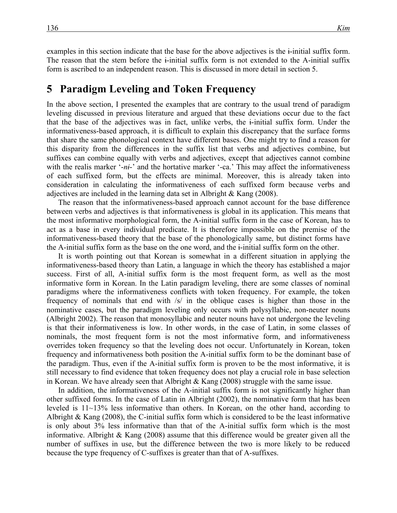examples in this section indicate that the base for the above adjectives is the ɨ-initial suffix form. The reason that the stem before the ɨ-initial suffix form is not extended to the A-initial suffix form is ascribed to an independent reason. This is discussed in more detail in section 5.

## **5** Paradigm Leveling and Token Frequency

In the above section, I presented the examples that are contrary to the usual trend of paradigm leveling discussed in previous literature and argued that these deviations occur due to the fact that the base of the adjectives was in fact, unlike verbs, the ɨ-initial suffix form. Under the informativeness-based approach, it is difficult to explain this discrepancy that the surface forms that share the same phonological context have different bases. One might try to find a reason for this disparity from the differences in the suffix list that verbs and adjectives combine, but suffixes can combine equally with verbs and adjectives, except that adjectives cannot combine with the realis marker '-*ni*-' and the hortative marker '-ca.' This may affect the informativeness of each suffixed form, but the effects are minimal. Moreover, this is already taken into consideration in calculating the informativeness of each suffixed form because verbs and adjectives are included in the learning data set in Albright & Kang (2008).

The reason that the informativeness-based approach cannot account for the base difference between verbs and adjectives is that informativeness is global in its application. This means that the most informative morphological form, the A-initial suffix form in the case of Korean, has to act as a base in every individual predicate. It is therefore impossible on the premise of the informativeness-based theory that the base of the phonologically same, but distinct forms have the A-initial suffix form as the base on the one word, and the ɨ-initial suffix form on the other.

It is worth pointing out that Korean is somewhat in a different situation in applying the informativeness-based theory than Latin, a language in which the theory has established a major success. First of all, A-initial suffix form is the most frequent form, as well as the most informative form in Korean. In the Latin paradigm leveling, there are some classes of nominal paradigms where the informativeness conflicts with token frequency. For example, the token frequency of nominals that end with /s/ in the oblique cases is higher than those in the nominative cases, but the paradigm leveling only occurs with polysyllabic, non-neuter nouns (Albright 2002). The reason that monosyllabic and neuter nouns have not undergone the leveling is that their informativeness is low. In other words, in the case of Latin, in some classes of nominals, the most frequent form is not the most informative form, and informativeness overrides token frequency so that the leveling does not occur. Unfortunately in Korean, token frequency and informativeness both position the A-initial suffix form to be the dominant base of the paradigm. Thus, even if the A-initial suffix form is proven to be the most informative, it is still necessary to find evidence that token frequency does not play a crucial role in base selection in Korean. We have already seen that Albright & Kang (2008) struggle with the same issue.

In addition, the informativeness of the A-initial suffix form is not significantly higher than other suffixed forms. In the case of Latin in Albright (2002), the nominative form that has been leveled is 11~13% less informative than others. In Korean, on the other hand, according to Albright & Kang (2008), the C-initial suffix form which is considered to be the least informative is only about 3% less informative than that of the A-initial suffix form which is the most informative. Albright  $\&$  Kang (2008) assume that this difference would be greater given all the number of suffixes in use, but the difference between the two is more likely to be reduced because the type frequency of C-suffixes is greater than that of A-suffixes.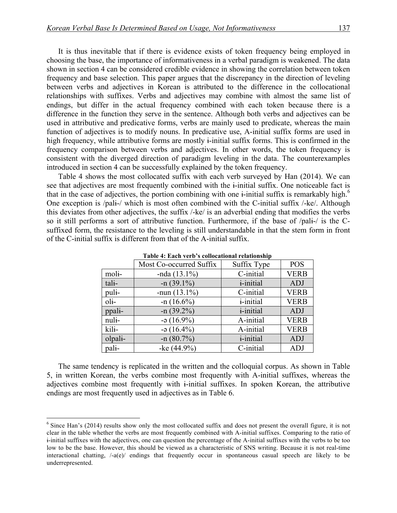It is thus inevitable that if there is evidence exists of token frequency being employed in choosing the base, the importance of informativeness in a verbal paradigm is weakened. The data shown in section 4 can be considered credible evidence in showing the correlation between token frequency and base selection. This paper argues that the discrepancy in the direction of leveling between verbs and adjectives in Korean is attributed to the difference in the collocational relationships with suffixes. Verbs and adjectives may combine with almost the same list of endings, but differ in the actual frequency combined with each token because there is a difference in the function they serve in the sentence. Although both verbs and adjectives can be used in attributive and predicative forms, verbs are mainly used to predicate, whereas the main function of adjectives is to modify nouns. In predicative use, A-initial suffix forms are used in high frequency, while attributive forms are mostly *i*-initial suffix forms. This is confirmed in the frequency comparison between verbs and adjectives. In other words, the token frequency is consistent with the diverged direction of paradigm leveling in the data. The counterexamples introduced in section 4 can be successfully explained by the token frequency.

Table 4 shows the most collocated suffix with each verb surveyed by Han (2014). We can see that adjectives are most frequently combined with the ɨ-initial suffix. One noticeable fact is that in the case of adjectives, the portion combining with one  $\mathbf{i}$ -initial suffix is remarkably high.<sup>6</sup> One exception is /palɨ-/ which is most often combined with the C-initial suffix /-ke/. Although this deviates from other adjectives, the suffix /-ke/ is an adverbial ending that modifies the verbs so it still performs a sort of attributive function. Furthermore, if the base of /palɨ-/ is the Csuffixed form, the resistance to the leveling is still understandable in that the stem form in front of the C-initial suffix is different from that of the A-initial suffix.

|         | Most Co-occurred Suffix | Suffix Type       | <b>POS</b>  |  |
|---------|-------------------------|-------------------|-------------|--|
| moli-   | $-nda(13.1%)$           | C-initial         | <b>VERB</b> |  |
| tali-   | $-n(39.1\%)$            | <i>i</i> -initial | ADJ         |  |
| puli-   | -nun $(13.1\%)$         | C-initial         | <b>VERB</b> |  |
| $oli$ - | $-n(16.6\%)$            | <i>i</i> -initial | <b>VERB</b> |  |
| ppali-  | $-n(39.2\%)$            | <i>i</i> -initial | ADJ         |  |
| nuli-   | $-9(16.9\%)$            | A-initial         | <b>VERB</b> |  |
| kili-   | $-9(16.4\%)$            | A-initial         | <b>VERB</b> |  |
| olpali- | $-n(80.7%)$             | <i>i</i> -initial | ADJ         |  |
| pali-   | -ke $(44.9\%)$          | C-initial         | ADJ         |  |

 **Table 4: Each verb's collocational relationship**

The same tendency is replicated in the written and the colloquial corpus. As shown in Table 5, in written Korean, the verbs combine most frequently with A-initial suffixes, whereas the adjectives combine most frequently with ɨ-initial suffixes. In spoken Korean, the attributive endings are most frequently used in adjectives as in Table 6.

<sup>&</sup>lt;sup>6</sup> Since Han's (2014) results show only the most collocated suffix and does not present the overall figure, it is not clear in the table whether the verbs are most frequently combined with A-initial suffixes. Comparing to the ratio of ɨ-initial suffixes with the adjectives, one can question the percentage of the A-initial suffixes with the verbs to be too low to be the base. However, this should be viewed as a characteristic of SNS writing. Because it is not real-time interactional chatting, /-a(e)/ endings that frequently occur in spontaneous casual speech are likely to be underrepresented.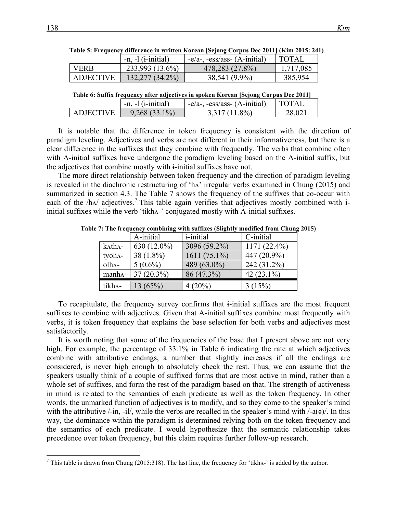|                  | $-n, -1$ ( <i>i</i> -initial) | $-e/a$ -, $-ess/ass$ - $(A$ -initial) | TOTAL     |
|------------------|-------------------------------|---------------------------------------|-----------|
| <b>VERB</b>      | 233,993 (13.6%)               | 478,283 (27.8%)                       | 1,717,085 |
| <b>ADJECTIVE</b> | $132,277(34.2\%)$             | 38,541 (9.9%)                         | 385,954   |

**Table 5: Frequency difference in written Korean [Sejong Corpus Dec 2011] (Kim 2015: 241)**

| ADJECTIVE   132,277 (34.2%) | 38,541 (9.9%) | 385,954 |
|-----------------------------|---------------|---------|
|                             |               |         |
|                             |               |         |

|  | Table 6: Suffix frequency after adiectives in spoken Korean [Seiong Corpus Dec 2011] |
|--|--------------------------------------------------------------------------------------|

|                  | $-n, -1$ ( <i>i</i> -initial) | $-e/a$ -, $-ess/ass$ - $(A\text{-initial})$ | L'EOTAI |
|------------------|-------------------------------|---------------------------------------------|---------|
| <b>ADJECTIVE</b> | $9,268(33.1\%)$               | $3.317(11.8\%)$                             | 28,021  |

It is notable that the difference in token frequency is consistent with the direction of paradigm leveling. Adjectives and verbs are not different in their informativeness, but there is a clear difference in the suffixes that they combine with frequently. The verbs that combine often with A-initial suffixes have undergone the paradigm leveling based on the A-initial suffix, but the adjectives that combine mostly with ɨ-initial suffixes have not.

The more direct relationship between token frequency and the direction of paradigm leveling is revealed in the diachronic restructuring of 'hʌ' irregular verbs examined in Chung (2015) and summarized in section 4.3. The Table 7 shows the frequency of the suffixes that co-occur with each of the  $/h\Lambda$  adjectives.<sup>7</sup> This table again verifies that adjectives mostly combined with  $\dot{a}$ initial suffixes while the verb 'tikhʌ-' conjugated mostly with A-initial suffixes.

|                   | A-initial     | <i>i</i> -initial | C-initial      |
|-------------------|---------------|-------------------|----------------|
| k^th^-            | $630(12.0\%)$ | 3096 (59.2%)      | $1171(22.4\%)$ |
| tyoh^-            | $38(1.8\%)$   | $1611(75.1\%)$    | 447 (20.9%)    |
| $olha-$           | $5(0.6\%)$    | 489 (63.0%)       | 242 (31.2%)    |
| manh <sub>A</sub> | $37(20.3\%)$  | 86 (47.3%)        | 42 $(23.1\%)$  |
| tikh^-            | 13(65%)       | $4(20\%)$         | 3(15%)         |

**Table 7: The frequency combining with suffixes (Slightly modified from Chung 2015)**

To recapitulate, the frequency survey confirms that ɨ-initial suffixes are the most frequent suffixes to combine with adjectives. Given that A-initial suffixes combine most frequently with verbs, it is token frequency that explains the base selection for both verbs and adjectives most satisfactorily.

It is worth noting that some of the frequencies of the base that I present above are not very high. For example, the percentage of 33.1% in Table 6 indicating the rate at which adjectives combine with attributive endings, a number that slightly increases if all the endings are considered, is never high enough to absolutely check the rest. Thus, we can assume that the speakers usually think of a couple of suffixed forms that are most active in mind, rather than a whole set of suffixes, and form the rest of the paradigm based on that. The strength of activeness in mind is related to the semantics of each predicate as well as the token frequency. In other words, the unmarked function of adjectives is to modify, and so they come to the speaker's mind with the attributive  $\ell$ -in, -il/, while the verbs are recalled in the speaker's mind with  $\ell$ -a( $\sigma$ ). In this way, the dominance within the paradigm is determined relying both on the token frequency and the semantics of each predicate. I would hypothesize that the semantic relationship takes precedence over token frequency, but this claim requires further follow-up research.

<sup>&</sup>lt;sup>7</sup> This table is drawn from Chung (2015:318). The last line, the frequency for 'tikh $\Lambda$ -' is added by the author.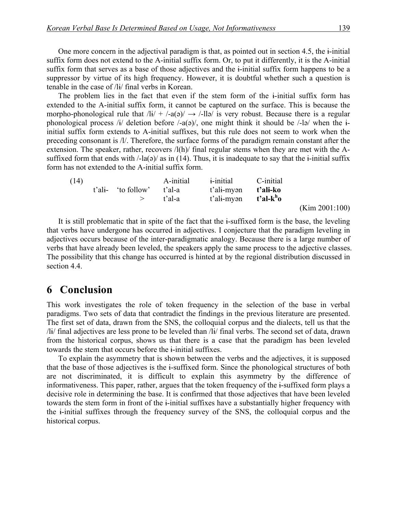One more concern in the adjectival paradigm is that, as pointed out in section 4.5, the ɨ-initial suffix form does not extend to the A-initial suffix form. Or, to put it differently, it is the A-initial suffix form that serves as a base of those adjectives and the i-initial suffix form happens to be a suppressor by virtue of its high frequency. However, it is doubtful whether such a question is tenable in the case of /lɨ/ final verbs in Korean.

The problem lies in the fact that even if the stem form of the i-initial suffix form has extended to the A-initial suffix form, it cannot be captured on the surface. This is because the morpho-phonological rule that  $\frac{di}{+}$   $\frac{1}{-a}$   $\rightarrow$   $\frac{1}{a}$  is very robust. Because there is a regular phonological process  $\frac{1}{4}$  deletion before  $\frac{1}{4}$  one might think it should be  $\frac{1}{4}$  when the iinitial suffix form extends to A-initial suffixes, but this rule does not seem to work when the preceding consonant is /l/. Therefore, the surface forms of the paradigm remain constant after the extension. The speaker, rather, recovers /l(h)/ final regular stems when they are met with the Asuffixed form that ends with  $\frac{1}{a}$  / as in (14). Thus, it is inadequate to say that the i-initial suffix form has not extended to the A-initial suffix form.

| (14) |                    | A-initial | <i>i</i> -initial | C-initial             |
|------|--------------------|-----------|-------------------|-----------------------|
|      | t'ali- 'to follow' | t'al-a    | t'ali-myən        | t'ali-ko              |
|      |                    | t'al-a    | t'ali-myən        | t'al-k <sup>h</sup> o |
|      |                    |           |                   |                       |

(Kim 2001:100)

It is still problematic that in spite of the fact that the i-suffixed form is the base, the leveling that verbs have undergone has occurred in adjectives. I conjecture that the paradigm leveling in adjectives occurs because of the inter-paradigmatic analogy. Because there is a large number of verbs that have already been leveled, the speakers apply the same process to the adjective classes. The possibility that this change has occurred is hinted at by the regional distribution discussed in section 4.4.

# **6** Conclusion

This work investigates the role of token frequency in the selection of the base in verbal paradigms. Two sets of data that contradict the findings in the previous literature are presented. The first set of data, drawn from the SNS, the colloquial corpus and the dialects, tell us that the /lɨ/ final adjectives are less prone to be leveled than /lɨ/ final verbs. The second set of data, drawn from the historical corpus, shows us that there is a case that the paradigm has been leveled towards the stem that occurs before the ɨ-initial suffixes.

To explain the asymmetry that is shown between the verbs and the adjectives, it is supposed that the base of those adjectives is the ɨ-suffixed form. Since the phonological structures of both are not discriminated, it is difficult to explain this asymmetry by the difference of informativeness. This paper, rather, argues that the token frequency of the ɨ-suffixed form plays a decisive role in determining the base. It is confirmed that those adjectives that have been leveled towards the stem form in front of the ɨ-initial suffixes have a substantially higher frequency with the ɨ-initial suffixes through the frequency survey of the SNS, the colloquial corpus and the historical corpus.